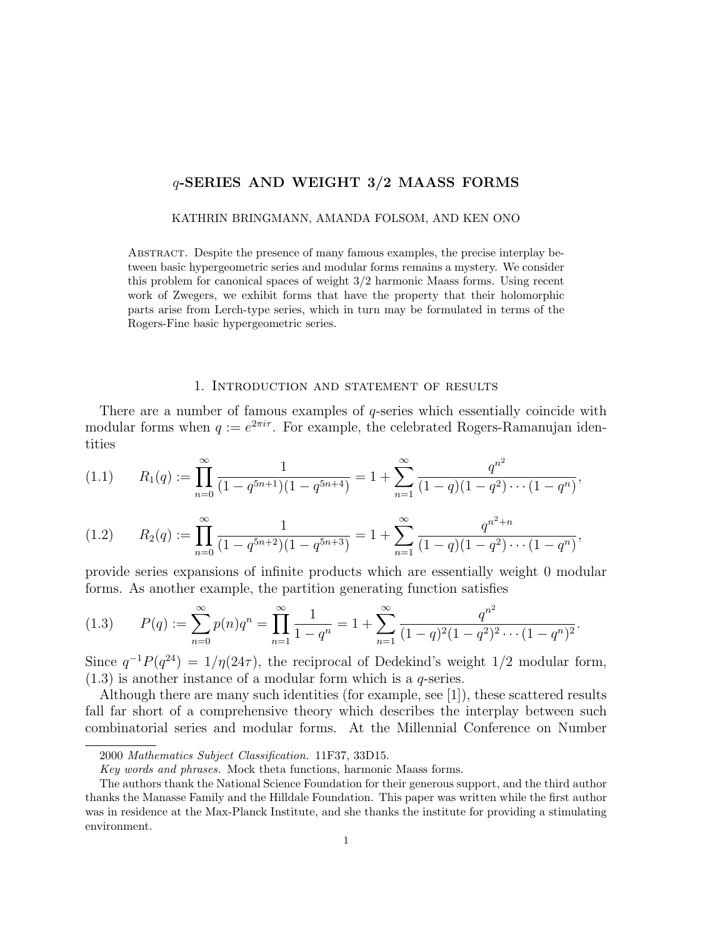## q-SERIES AND WEIGHT 3/2 MAASS FORMS

### KATHRIN BRINGMANN, AMANDA FOLSOM, AND KEN ONO

Abstract. Despite the presence of many famous examples, the precise interplay between basic hypergeometric series and modular forms remains a mystery. We consider this problem for canonical spaces of weight 3/2 harmonic Maass forms. Using recent work of Zwegers, we exhibit forms that have the property that their holomorphic parts arise from Lerch-type series, which in turn may be formulated in terms of the Rogers-Fine basic hypergeometric series.

### 1. Introduction and statement of results

There are a number of famous examples of  $q$ -series which essentially coincide with modular forms when  $q := e^{2\pi i \tau}$ . For example, the celebrated Rogers-Ramanujan identities

$$
(1.1) \qquad R_1(q) := \prod_{n=0}^{\infty} \frac{1}{(1-q^{5n+1})(1-q^{5n+4})} = 1 + \sum_{n=1}^{\infty} \frac{q^{n^2}}{(1-q)(1-q^2)\cdots(1-q^n)},
$$

$$
(1.2) \qquad R_2(q) := \prod_{n=0}^{\infty} \frac{1}{(1-q^{5n+2})(1-q^{5n+3})} = 1 + \sum_{n=1}^{\infty} \frac{q^{n^2+n}}{(1-q)(1-q^2)\cdots(1-q^n)},
$$

provide series expansions of infinite products which are essentially weight 0 modular forms. As another example, the partition generating function satisfies

$$
(1.3) \qquad P(q) := \sum_{n=0}^{\infty} p(n)q^n = \prod_{n=1}^{\infty} \frac{1}{1-q^n} = 1 + \sum_{n=1}^{\infty} \frac{q^{n^2}}{(1-q)^2(1-q^2)^2 \cdots (1-q^n)^2}.
$$

Since  $q^{-1}P(q^{24}) = 1/\eta(24\tau)$ , the reciprocal of Dedekind's weight 1/2 modular form,  $(1.3)$  is another instance of a modular form which is a q-series.

Although there are many such identities (for example, see [1]), these scattered results fall far short of a comprehensive theory which describes the interplay between such combinatorial series and modular forms. At the Millennial Conference on Number

<sup>2000</sup> Mathematics Subject Classification. 11F37, 33D15.

Key words and phrases. Mock theta functions, harmonic Maass forms.

The authors thank the National Science Foundation for their generous support, and the third author thanks the Manasse Family and the Hilldale Foundation. This paper was written while the first author was in residence at the Max-Planck Institute, and she thanks the institute for providing a stimulating environment.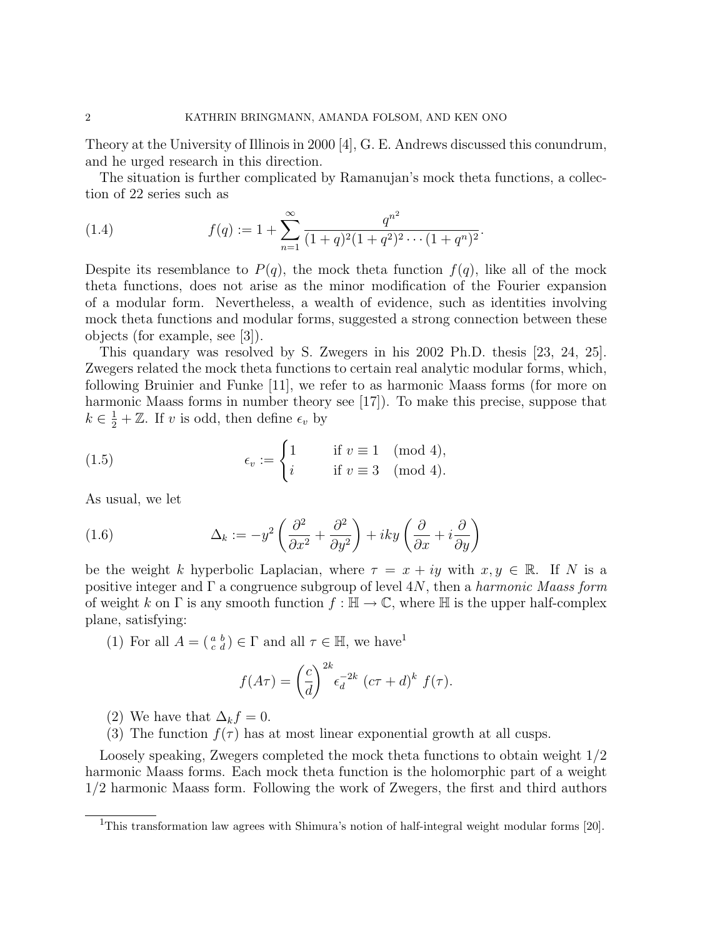Theory at the University of Illinois in 2000 [4], G. E. Andrews discussed this conundrum, and he urged research in this direction.

The situation is further complicated by Ramanujan's mock theta functions, a collection of 22 series such as

(1.4) 
$$
f(q) := 1 + \sum_{n=1}^{\infty} \frac{q^{n^2}}{(1+q)^2(1+q^2)^2 \cdots (1+q^n)^2}.
$$

Despite its resemblance to  $P(q)$ , the mock theta function  $f(q)$ , like all of the mock theta functions, does not arise as the minor modification of the Fourier expansion of a modular form. Nevertheless, a wealth of evidence, such as identities involving mock theta functions and modular forms, suggested a strong connection between these objects (for example, see [3]).

This quandary was resolved by S. Zwegers in his 2002 Ph.D. thesis [23, 24, 25]. Zwegers related the mock theta functions to certain real analytic modular forms, which, following Bruinier and Funke [11], we refer to as harmonic Maass forms (for more on harmonic Maass forms in number theory see [17]). To make this precise, suppose that  $k \in \frac{1}{2} + \mathbb{Z}$ . If v is odd, then define  $\epsilon_v$  by

(1.5) 
$$
\epsilon_v := \begin{cases} 1 & \text{if } v \equiv 1 \pmod{4}, \\ i & \text{if } v \equiv 3 \pmod{4}. \end{cases}
$$

As usual, we let

(1.6) 
$$
\Delta_k := -y^2 \left( \frac{\partial^2}{\partial x^2} + \frac{\partial^2}{\partial y^2} \right) + iky \left( \frac{\partial}{\partial x} + i \frac{\partial}{\partial y} \right)
$$

be the weight k hyperbolic Laplacian, where  $\tau = x + iy$  with  $x, y \in \mathbb{R}$ . If N is a positive integer and  $\Gamma$  a congruence subgroup of level 4N, then a *harmonic Maass form* of weight k on  $\Gamma$  is any smooth function  $f : \mathbb{H} \to \mathbb{C}$ , where  $\mathbb{H}$  is the upper half-complex plane, satisfying:

(1) For all  $A = \begin{pmatrix} a & b \\ c & d \end{pmatrix} \in \Gamma$  and all  $\tau \in \mathbb{H}$ , we have

$$
f(A\tau) = \left(\frac{c}{d}\right)^{2k} \epsilon_d^{-2k} \left(c\tau + d\right)^k f(\tau).
$$

- (2) We have that  $\Delta_k f = 0$ .
- (3) The function  $f(\tau)$  has at most linear exponential growth at all cusps.

Loosely speaking, Zwegers completed the mock theta functions to obtain weight 1/2 harmonic Maass forms. Each mock theta function is the holomorphic part of a weight 1/2 harmonic Maass form. Following the work of Zwegers, the first and third authors

<sup>&</sup>lt;sup>1</sup>This transformation law agrees with Shimura's notion of half-integral weight modular forms [20].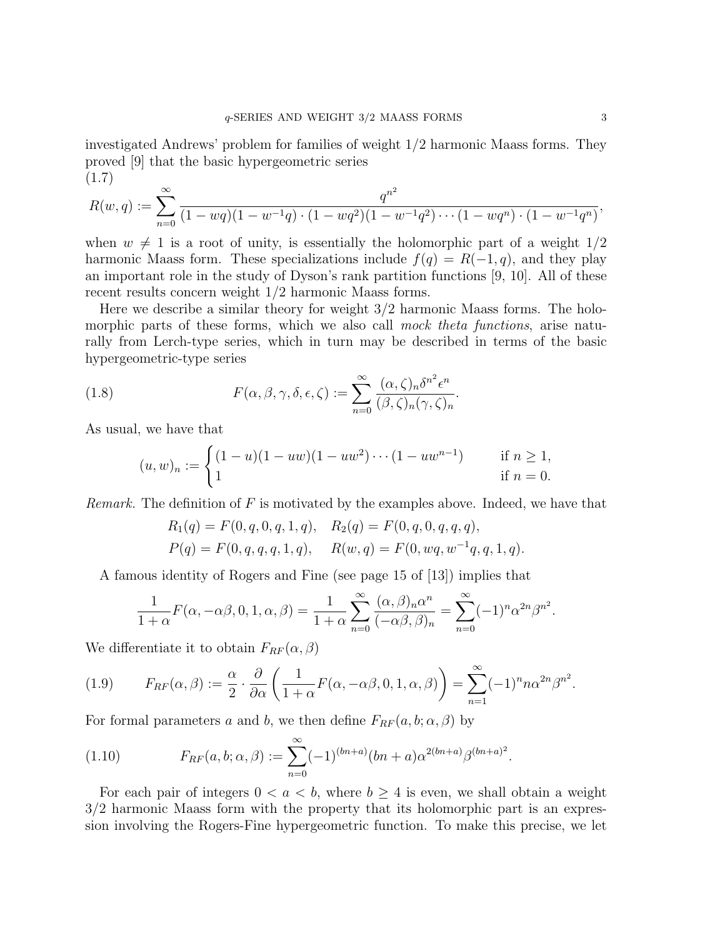investigated Andrews' problem for families of weight 1/2 harmonic Maass forms. They proved [9] that the basic hypergeometric series (1.7)

$$
R(w,q) := \sum_{n=0}^{\infty} \frac{q^{n^2}}{(1 - wq)(1 - w^{-1}q) \cdot (1 - wq^2)(1 - w^{-1}q^2) \cdots (1 - wq^n) \cdot (1 - w^{-1}q^n)},
$$

when  $w \neq 1$  is a root of unity, is essentially the holomorphic part of a weight  $1/2$ harmonic Maass form. These specializations include  $f(q) = R(-1, q)$ , and they play an important role in the study of Dyson's rank partition functions [9, 10]. All of these recent results concern weight 1/2 harmonic Maass forms.

Here we describe a similar theory for weight 3/2 harmonic Maass forms. The holomorphic parts of these forms, which we also call mock theta functions, arise naturally from Lerch-type series, which in turn may be described in terms of the basic hypergeometric-type series

(1.8) 
$$
F(\alpha, \beta, \gamma, \delta, \epsilon, \zeta) := \sum_{n=0}^{\infty} \frac{(\alpha, \zeta)_n \delta^{n^2} \epsilon^n}{(\beta, \zeta)_n (\gamma, \zeta)_n}.
$$

As usual, we have that

$$
(u, w)_n := \begin{cases} (1 - u)(1 - uw)(1 - uw^2) \cdots (1 - uw^{n-1}) & \text{if } n \ge 1, \\ 1 & \text{if } n = 0. \end{cases}
$$

*Remark.* The definition of  $F$  is motivated by the examples above. Indeed, we have that

$$
R_1(q) = F(0, q, 0, q, 1, q), \quad R_2(q) = F(0, q, 0, q, q, q),
$$
  

$$
P(q) = F(0, q, q, q, 1, q), \quad R(w, q) = F(0, wq, w^{-1}q, q, 1, q).
$$

A famous identity of Rogers and Fine (see page 15 of [13]) implies that

$$
\frac{1}{1+\alpha}F(\alpha, -\alpha\beta, 0, 1, \alpha, \beta) = \frac{1}{1+\alpha} \sum_{n=0}^{\infty} \frac{(\alpha, \beta)_n \alpha^n}{(-\alpha\beta, \beta)_n} = \sum_{n=0}^{\infty} (-1)^n \alpha^{2n} \beta^{n^2}.
$$

We differentiate it to obtain  $F_{RF}(\alpha, \beta)$ 

(1.9) 
$$
F_{RF}(\alpha,\beta) := \frac{\alpha}{2} \cdot \frac{\partial}{\partial \alpha} \left( \frac{1}{1+\alpha} F(\alpha,-\alpha\beta,0,1,\alpha,\beta) \right) = \sum_{n=1}^{\infty} (-1)^n n \alpha^{2n} \beta^{n^2}.
$$

For formal parameters a and b, we then define  $F_{RF}(a, b; \alpha, \beta)$  by

(1.10) 
$$
F_{RF}(a,b;\alpha,\beta) := \sum_{n=0}^{\infty} (-1)^{(bn+a)} (bn+a)\alpha^{2(bn+a)}\beta^{(bn+a)^2}.
$$

For each pair of integers  $0 < a < b$ , where  $b \geq 4$  is even, we shall obtain a weight 3/2 harmonic Maass form with the property that its holomorphic part is an expression involving the Rogers-Fine hypergeometric function. To make this precise, we let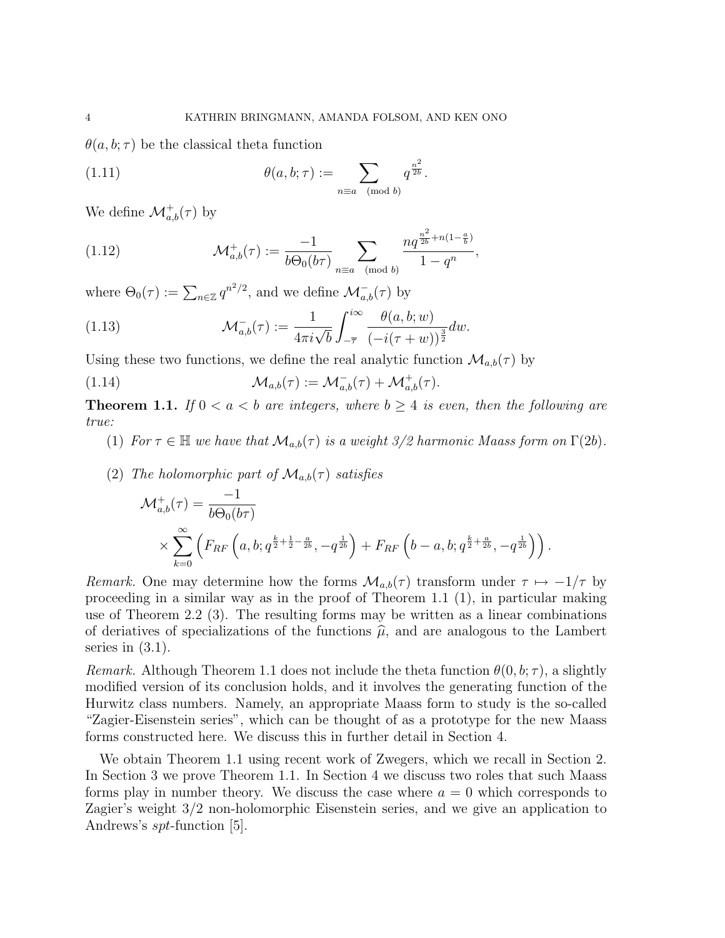$\theta(a, b; \tau)$  be the classical theta function

(1.11) 
$$
\theta(a, b; \tau) := \sum_{n \equiv a \pmod{b}} q^{\frac{n^2}{2b}}.
$$

We define  $\mathcal{M}^+_{a,b}(\tau)$  by

(1.12) 
$$
\mathcal{M}_{a,b}^+(\tau) := \frac{-1}{b\Theta_0(b\tau)} \sum_{n \equiv a \pmod{b}} \frac{nq^{\frac{n^2}{2b} + n(1-\frac{a}{b})}}{1 - q^n},
$$

where  $\Theta_0(\tau) := \sum_{n \in \mathbb{Z}} q^{n^2/2}$ , and we define  $\mathcal{M}_{a,b}^-(\tau)$  by

(1.13) 
$$
\mathcal{M}_{a,b}^{-}(\tau) := \frac{1}{4\pi i \sqrt{b}} \int_{-\overline{\tau}}^{i\infty} \frac{\theta(a,b;w)}{(-i(\tau+w))^{\frac{3}{2}}} dw.
$$

Using these two functions, we define the real analytic function  $\mathcal{M}_{a,b}(\tau)$  by

(1.14) 
$$
\mathcal{M}_{a,b}(\tau) := \mathcal{M}_{a,b}^-(\tau) + \mathcal{M}_{a,b}^+(\tau).
$$

**Theorem 1.1.** If  $0 < a < b$  are integers, where  $b \ge 4$  is even, then the following are true:

(1) For  $\tau \in \mathbb{H}$  we have that  $\mathcal{M}_{a,b}(\tau)$  is a weight 3/2 harmonic Maass form on  $\Gamma(2b)$ .

(2) The holomorphic part of 
$$
\mathcal{M}_{a,b}(\tau)
$$
 satisfies  
\n
$$
\mathcal{M}_{a,b}^+(\tau) = \frac{-1}{b\Theta_0(b\tau)} \times \sum_{k=0}^{\infty} \left( F_{RF} \left( a, b; q^{\frac{k}{2} + \frac{1}{2} - \frac{a}{2b}}, -q^{\frac{1}{2b}} \right) + F_{RF} \left( b - a, b; q^{\frac{k}{2} + \frac{a}{2b}}, -q^{\frac{1}{2b}} \right) \right).
$$

Remark. One may determine how the forms  $\mathcal{M}_{a,b}(\tau)$  transform under  $\tau \mapsto -1/\tau$  by proceeding in a similar way as in the proof of Theorem 1.1 (1), in particular making use of Theorem 2.2 (3). The resulting forms may be written as a linear combinations of deriatives of specializations of the functions  $\hat{\mu}$ , and are analogous to the Lambert series in  $(3.1)$ .

*Remark.* Although Theorem 1.1 does not include the theta function  $\theta(0, b; \tau)$ , a slightly modified version of its conclusion holds, and it involves the generating function of the Hurwitz class numbers. Namely, an appropriate Maass form to study is the so-called "Zagier-Eisenstein series", which can be thought of as a prototype for the new Maass forms constructed here. We discuss this in further detail in Section 4.

We obtain Theorem 1.1 using recent work of Zwegers, which we recall in Section 2. In Section 3 we prove Theorem 1.1. In Section 4 we discuss two roles that such Maass forms play in number theory. We discuss the case where  $a = 0$  which corresponds to Zagier's weight 3/2 non-holomorphic Eisenstein series, and we give an application to Andrews's spt-function [5].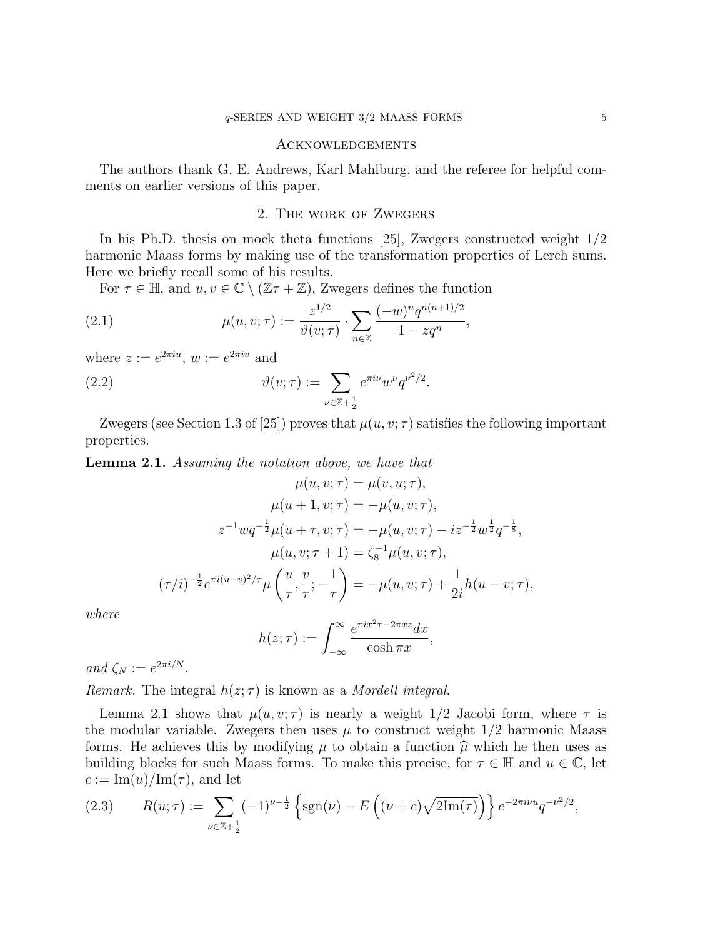### Acknowledgements

The authors thank G. E. Andrews, Karl Mahlburg, and the referee for helpful comments on earlier versions of this paper.

## 2. The work of Zwegers

In his Ph.D. thesis on mock theta functions [25], Zwegers constructed weight 1/2 harmonic Maass forms by making use of the transformation properties of Lerch sums. Here we briefly recall some of his results.

For  $\tau \in \mathbb{H}$ , and  $u, v \in \mathbb{C} \setminus (\mathbb{Z}\tau + \mathbb{Z})$ , Zwegers defines the function

(2.1) 
$$
\mu(u, v; \tau) := \frac{z^{1/2}}{\vartheta(v; \tau)} \cdot \sum_{n \in \mathbb{Z}} \frac{(-w)^n q^{n(n+1)/2}}{1 - zq^n},
$$

where  $z := e^{2\pi i u}$ ,  $w := e^{2\pi i v}$  and

(2.2) 
$$
\vartheta(v;\tau) := \sum_{\nu \in \mathbb{Z} + \frac{1}{2}} e^{\pi i \nu} w^{\nu} q^{\nu^2/2}.
$$

Zwegers (see Section 1.3 of [25]) proves that  $\mu(u, v; \tau)$  satisfies the following important properties.

Lemma 2.1. Assuming the notation above, we have that

$$
\mu(u, v; \tau) = \mu(v, u; \tau),
$$
  
\n
$$
\mu(u + 1, v; \tau) = -\mu(u, v; \tau),
$$
  
\n
$$
z^{-1}wq^{-\frac{1}{2}}\mu(u + \tau, v; \tau) = -\mu(u, v; \tau) - iz^{-\frac{1}{2}}w^{\frac{1}{2}}q^{-\frac{1}{8}},
$$
  
\n
$$
\mu(u, v; \tau + 1) = \zeta_8^{-1}\mu(u, v; \tau),
$$
  
\n
$$
(\tau/i)^{-\frac{1}{2}}e^{\pi i(u-v)^2/\tau}\mu\left(\frac{u}{\tau}, \frac{v}{\tau}; -\frac{1}{\tau}\right) = -\mu(u, v; \tau) + \frac{1}{2i}h(u - v; \tau),
$$

where

$$
h(z;\tau) := \int_{-\infty}^{\infty} \frac{e^{\pi i x^2 \tau - 2\pi x z} dx}{\cosh \pi x},
$$

and  $\zeta_N := e^{2\pi i/N}$ .

Remark. The integral  $h(z; \tau)$  is known as a Mordell integral.

Lemma 2.1 shows that  $\mu(u, v; \tau)$  is nearly a weight 1/2 Jacobi form, where  $\tau$  is the modular variable. Zwegers then uses  $\mu$  to construct weight  $1/2$  harmonic Maass forms. He achieves this by modifying  $\mu$  to obtain a function  $\hat{\mu}$  which he then uses as building blocks for such Maass forms. To make this precise, for  $\tau \in \mathbb{H}$  and  $u \in \mathbb{C}$ , let  $c := \text{Im}(u)/\text{Im}(\tau)$ , and let

(2.3) 
$$
R(u; \tau) := \sum_{\nu \in \mathbb{Z} + \frac{1}{2}} (-1)^{\nu - \frac{1}{2}} \left\{ \text{sgn}(\nu) - E\left( (\nu + c) \sqrt{2\text{Im}(\tau)} \right) \right\} e^{-2\pi i \nu u} q^{-\nu^2/2},
$$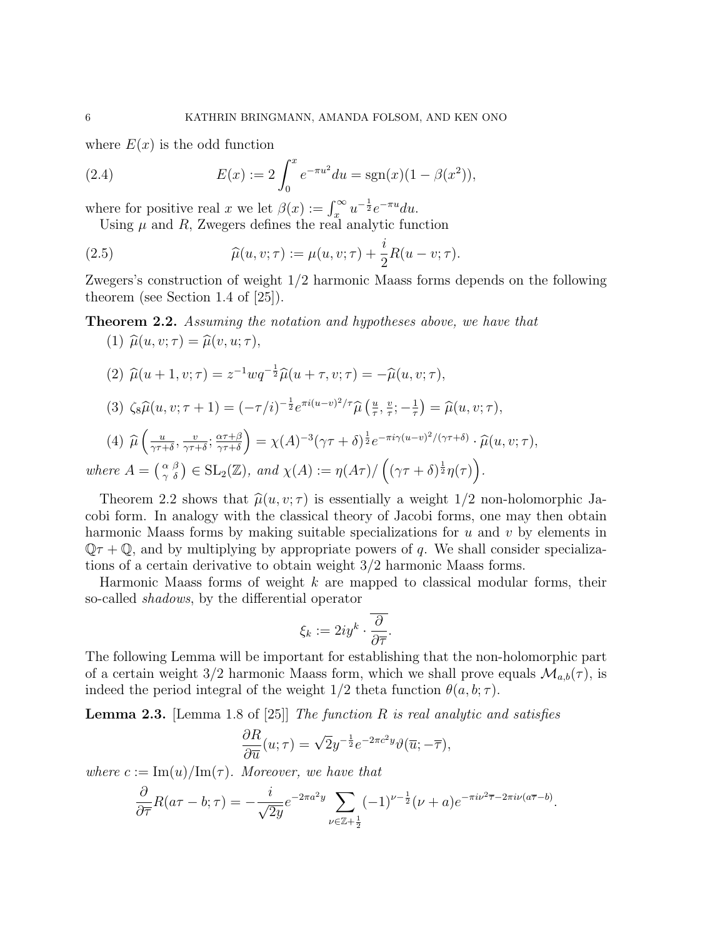where  $E(x)$  is the odd function

(2.4) 
$$
E(x) := 2 \int_0^x e^{-\pi u^2} du = \text{sgn}(x)(1 - \beta(x^2)),
$$

where for positive real x we let  $\beta(x) := \int_x^{\infty} u^{-\frac{1}{2}} e^{-\pi u} du$ .

Using  $\mu$  and  $R$ , Zwegers defines the real analytic function

(2.5) 
$$
\widehat{\mu}(u, v; \tau) := \mu(u, v; \tau) + \frac{i}{2} R(u - v; \tau).
$$

Zwegers's construction of weight 1/2 harmonic Maass forms depends on the following theorem (see Section 1.4 of [25]).

# **Theorem 2.2.** Assuming the notation and hypotheses above, we have that

- (1)  $\widehat{\mu}(u, v; \tau) = \widehat{\mu}(v, u; \tau),$
- (2)  $\widehat{\mu}(u + 1, v; \tau) = z^{-1} w q^{-\frac{1}{2}} \widehat{\mu}(u + \tau, v; \tau) = -\widehat{\mu}(u, v; \tau),$
- (3)  $\zeta_8 \widehat{\mu}(u, v; \tau + 1) = (-\tau/i)^{-\frac{1}{2}} e^{\pi i (u-v)^2/\tau} \widehat{\mu} \left( \frac{u}{\tau} \right)$  $\frac{u}{\tau}$ ,  $\frac{v}{\tau}$  $\frac{v}{\tau}; -\frac{1}{\tau}$  $(\frac{1}{\tau}) = \widehat{\mu}(u, v; \tau),$

(4) 
$$
\widehat{\mu}\left(\frac{u}{\gamma\tau+\delta}, \frac{v}{\gamma\tau+\delta}; \frac{\alpha\tau+\beta}{\gamma\tau+\delta}\right) = \chi(A)^{-3}(\gamma\tau+\delta)^{\frac{1}{2}}e^{-\pi i\gamma(u-v)^2/(\gamma\tau+\delta)} \cdot \widehat{\mu}(u, v; \tau),
$$

where 
$$
A = \begin{pmatrix} \alpha & \beta \\ \gamma & \delta \end{pmatrix} \in SL_2(\mathbb{Z}),
$$
 and  $\chi(A) := \eta(A\tau) / \left( (\gamma\tau + \delta)^{\frac{1}{2}} \eta(\tau) \right)$ .

Theorem 2.2 shows that  $\hat{\mu}(u, v; \tau)$  is essentially a weight 1/2 non-holomorphic Jacobi form. In analogy with the classical theory of Jacobi forms, one may then obtain harmonic Maass forms by making suitable specializations for  $u$  and  $v$  by elements in  $\mathbb{Q} \tau + \mathbb{Q}$ , and by multiplying by appropriate powers of q. We shall consider specializations of a certain derivative to obtain weight 3/2 harmonic Maass forms.

Harmonic Maass forms of weight  $k$  are mapped to classical modular forms, their so-called shadows, by the differential operator

$$
\xi_k := 2iy^k \cdot \frac{\overline{\partial}}{\partial \overline{\tau}}.
$$

The following Lemma will be important for establishing that the non-holomorphic part of a certain weight 3/2 harmonic Maass form, which we shall prove equals  $\mathcal{M}_{a,b}(\tau)$ , is indeed the period integral of the weight  $1/2$  theta function  $\theta(a, b; \tau)$ .

**Lemma 2.3.** [Lemma 1.8 of [25]] The function R is real analytic and satisfies

$$
\frac{\partial R}{\partial \overline{u}}(u;\tau) = \sqrt{2}y^{-\frac{1}{2}}e^{-2\pi c^2y}\vartheta(\overline{u};-\overline{\tau}),
$$

where  $c := \text{Im}(u)/\text{Im}(\tau)$ . Moreover, we have that

$$
\frac{\partial}{\partial \overline{\tau}} R(a\tau - b; \tau) = -\frac{i}{\sqrt{2y}} e^{-2\pi a^2 y} \sum_{\nu \in \mathbb{Z} + \frac{1}{2}} (-1)^{\nu - \frac{1}{2}} (\nu + a) e^{-\pi i \nu^2 \overline{\tau} - 2\pi i \nu (a\overline{\tau} - b)}.
$$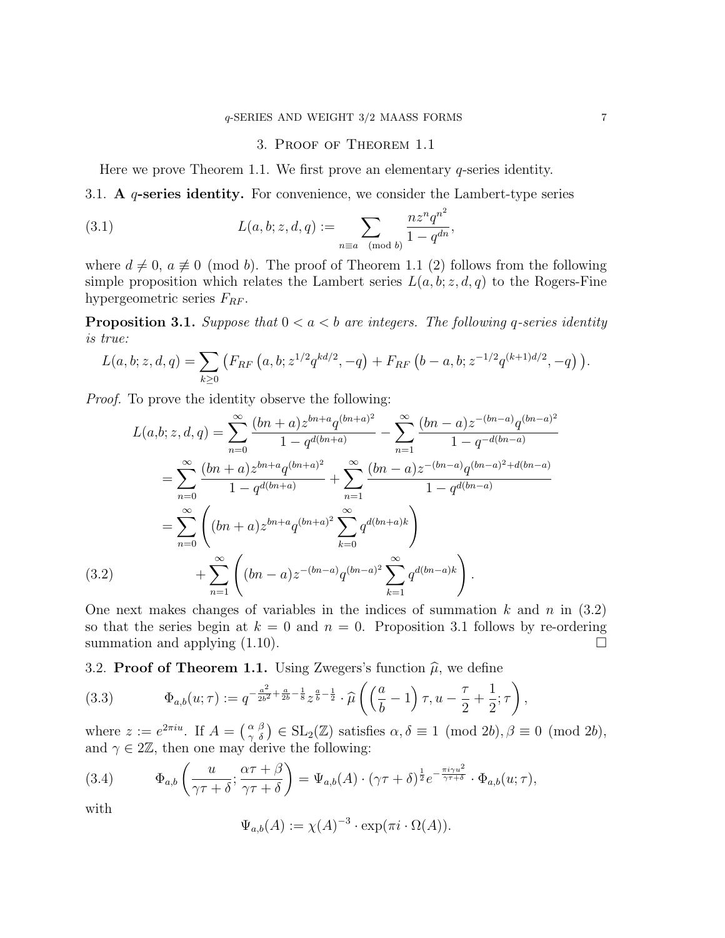## 3. Proof of Theorem 1.1

Here we prove Theorem 1.1. We first prove an elementary  $q$ -series identity.

3.1. A  $q$ -series identity. For convenience, we consider the Lambert-type series

(3.1) 
$$
L(a, b; z, d, q) := \sum_{n \equiv a \pmod{b}} \frac{n z^n q^{n^2}}{1 - q^{dn}},
$$

where  $d \neq 0$ ,  $a \neq 0 \pmod{b}$ . The proof of Theorem 1.1 (2) follows from the following simple proposition which relates the Lambert series  $L(a, b; z, d, q)$  to the Rogers-Fine hypergeometric series  $F_{RF}$ .

**Proposition 3.1.** Suppose that  $0 < a < b$  are integers. The following q-series identity is true:

$$
L(a, b; z, d, q) = \sum_{k \ge 0} \left( F_{RF} \left( a, b; z^{1/2} q^{kd/2}, -q \right) + F_{RF} \left( b - a, b; z^{-1/2} q^{(k+1)d/2}, -q \right) \right).
$$

Proof. To prove the identity observe the following:

$$
L(a,b; z, d, q) = \sum_{n=0}^{\infty} \frac{(bn+a)z^{bn+a}q^{(bn+a)^2}}{1-q^{d(bn+a)}} - \sum_{n=1}^{\infty} \frac{(bn-a)z^{-(bn-a)}q^{(bn-a)^2}}{1-q^{-d(bn-a)}}
$$
  

$$
= \sum_{n=0}^{\infty} \frac{(bn+a)z^{bn+a}q^{(bn+a)^2}}{1-q^{d(bn+a)}} + \sum_{n=1}^{\infty} \frac{(bn-a)z^{-(bn-a)}q^{(bn-a)^2+d(bn-a)}}{1-q^{d(bn-a)}}
$$
  

$$
= \sum_{n=0}^{\infty} \left( (bn+a)z^{bn+a}q^{(bn+a)^2} \sum_{k=0}^{\infty} q^{d(bn+a)k} \right)
$$
  
(3.2) 
$$
+ \sum_{n=1}^{\infty} \left( (bn-a)z^{-(bn-a)}q^{(bn-a)^2} \sum_{k=1}^{\infty} q^{d(bn-a)k} \right).
$$

One next makes changes of variables in the indices of summation k and n in  $(3.2)$ so that the series begin at  $k = 0$  and  $n = 0$ . Proposition 3.1 follows by re-ordering summation and applying  $(1.10)$ .

3.2. Proof of Theorem 1.1. Using Zwegers's function  $\hat{\mu}$ , we define

(3.3) 
$$
\Phi_{a,b}(u;\tau) := q^{-\frac{a^2}{2b^2} + \frac{a}{2b} - \frac{1}{8}} z^{\frac{a}{b} - \frac{1}{2}} \cdot \widehat{\mu}\left(\left(\frac{a}{b} - 1\right)\tau, u - \frac{\tau}{2} + \frac{1}{2}; \tau\right),
$$

where  $z := e^{2\pi i u}$ . If  $A = \begin{pmatrix} \alpha & \beta \\ \gamma & \delta \end{pmatrix} \in SL_2(\mathbb{Z})$  satisfies  $\alpha, \delta \equiv 1 \pmod{2b}, \beta \equiv 0 \pmod{2b}$ , and  $\gamma \in 2\mathbb{Z}$ , then one may derive the following:

(3.4) 
$$
\Phi_{a,b}\left(\frac{u}{\gamma\tau+\delta};\frac{\alpha\tau+\beta}{\gamma\tau+\delta}\right)=\Psi_{a,b}(A)\cdot(\gamma\tau+\delta)^{\frac{1}{2}}e^{-\frac{\pi i\gamma u^2}{\gamma\tau+\delta}}\cdot\Phi_{a,b}(u;\tau),
$$

with

$$
\Psi_{a,b}(A) := \chi(A)^{-3} \cdot \exp(\pi i \cdot \Omega(A)).
$$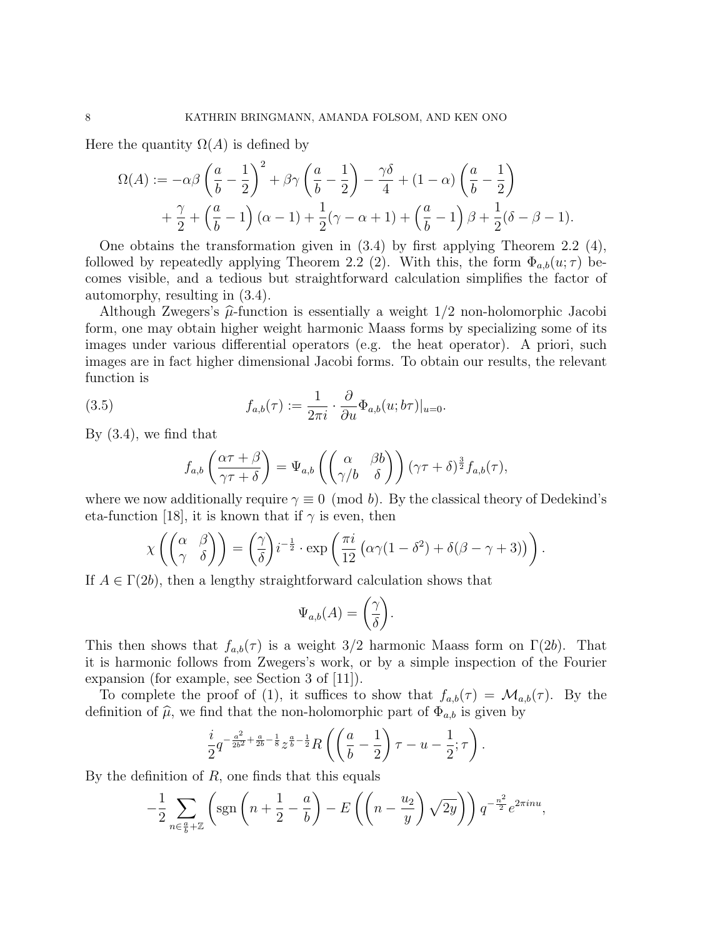Here the quantity  $\Omega(A)$  is defined by

$$
\Omega(A) := -\alpha \beta \left(\frac{a}{b} - \frac{1}{2}\right)^2 + \beta \gamma \left(\frac{a}{b} - \frac{1}{2}\right) - \frac{\gamma \delta}{4} + (1 - \alpha) \left(\frac{a}{b} - \frac{1}{2}\right) + \frac{\gamma}{2} + \left(\frac{a}{b} - 1\right)(\alpha - 1) + \frac{1}{2}(\gamma - \alpha + 1) + \left(\frac{a}{b} - 1\right)\beta + \frac{1}{2}(\delta - \beta - 1).
$$

One obtains the transformation given in (3.4) by first applying Theorem 2.2 (4), followed by repeatedly applying Theorem 2.2 (2). With this, the form  $\Phi_{a,b}(u;\tau)$  becomes visible, and a tedious but straightforward calculation simplifies the factor of automorphy, resulting in (3.4).

Although Zwegers's  $\hat{\mu}$ -function is essentially a weight  $1/2$  non-holomorphic Jacobi form, one may obtain higher weight harmonic Maass forms by specializing some of its images under various differential operators (e.g. the heat operator). A priori, such images are in fact higher dimensional Jacobi forms. To obtain our results, the relevant function is

(3.5) 
$$
f_{a,b}(\tau) := \frac{1}{2\pi i} \cdot \frac{\partial}{\partial u} \Phi_{a,b}(u; b\tau)|_{u=0}.
$$

By (3.4), we find that

$$
f_{a,b}\left(\frac{\alpha\tau+\beta}{\gamma\tau+\delta}\right)=\Psi_{a,b}\left(\begin{pmatrix} \alpha & \beta b \\ \gamma/b & \delta \end{pmatrix}\right)(\gamma\tau+\delta)^{\frac{3}{2}}f_{a,b}(\tau),
$$

where we now additionally require  $\gamma \equiv 0 \pmod{b}$ . By the classical theory of Dedekind's eta-function [18], it is known that if  $\gamma$  is even, then

$$
\chi\left(\begin{pmatrix} \alpha & \beta \\ \gamma & \delta \end{pmatrix}\right) = \left(\frac{\gamma}{\delta}\right) i^{-\frac{1}{2}} \cdot \exp\left(\frac{\pi i}{12} \left(\alpha \gamma (1 - \delta^2) + \delta(\beta - \gamma + 3)\right)\right).
$$

If  $A \in \Gamma(2b)$ , then a lengthy straightforward calculation shows that

$$
\Psi_{a,b}(A) = \left(\frac{\gamma}{\delta}\right).
$$

This then shows that  $f_{a,b}(\tau)$  is a weight 3/2 harmonic Maass form on  $\Gamma(2b)$ . That it is harmonic follows from Zwegers's work, or by a simple inspection of the Fourier expansion (for example, see Section 3 of [11]).

To complete the proof of (1), it suffices to show that  $f_{a,b}(\tau) = \mathcal{M}_{a,b}(\tau)$ . By the definition of  $\hat{\mu}$ , we find that the non-holomorphic part of  $\Phi_{a,b}$  is given by

$$
\frac{i}{2}q^{-\frac{a^2}{2b^2}+\frac{a}{2b}-\frac{1}{8}}z^{\frac{a}{b}-\frac{1}{2}}R\left(\left(\frac{a}{b}-\frac{1}{2}\right)\tau-u-\frac{1}{2};\tau\right).
$$

By the definition of  $R$ , one finds that this equals

$$
-\frac{1}{2}\sum_{n\in\frac{a}{b}+\mathbb{Z}}\left(\text{sgn}\left(n+\frac{1}{2}-\frac{a}{b}\right)-E\left(\left(n-\frac{u_2}{y}\right)\sqrt{2y}\right)\right)q^{-\frac{n^2}{2}}e^{2\pi inu},
$$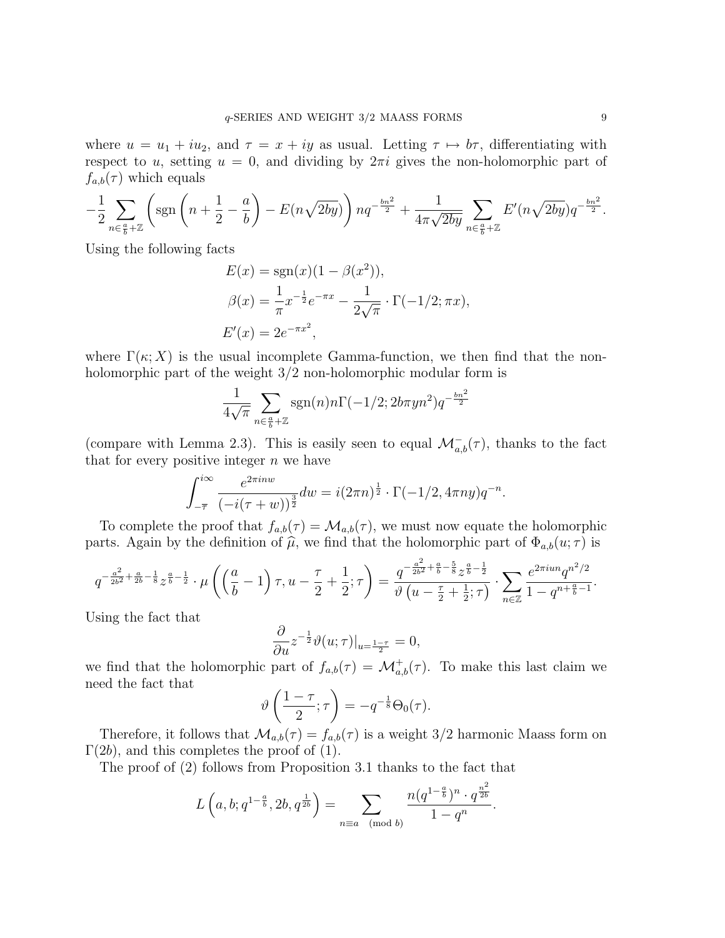where  $u = u_1 + iu_2$ , and  $\tau = x + iy$  as usual. Letting  $\tau \mapsto b\tau$ , differentiating with respect to u, setting  $u = 0$ , and dividing by  $2\pi i$  gives the non-holomorphic part of  $f_{a,b}(\tau)$  which equals

$$
-\frac{1}{2}\sum_{n\in\frac{a}{b}+\mathbb{Z}}\left(\text{sgn}\left(n+\frac{1}{2}-\frac{a}{b}\right)-E(n\sqrt{2by})\right) nq^{-\frac{bn^2}{2}}+\frac{1}{4\pi\sqrt{2by}}\sum_{n\in\frac{a}{b}+\mathbb{Z}}E'(n\sqrt{2by})q^{-\frac{bn^2}{2}}.
$$

Using the following facts

$$
E(x) = sgn(x)(1 - \beta(x^{2})),
$$
  
\n
$$
\beta(x) = \frac{1}{\pi}x^{-\frac{1}{2}}e^{-\pi x} - \frac{1}{2\sqrt{\pi}} \cdot \Gamma(-1/2; \pi x),
$$
  
\n
$$
E'(x) = 2e^{-\pi x^{2}},
$$

where  $\Gamma(\kappa; X)$  is the usual incomplete Gamma-function, we then find that the nonholomorphic part of the weight  $3/2$  non-holomorphic modular form is

$$
\frac{1}{4\sqrt{\pi}}\sum_{n\in\frac{a}{b}+\mathbb{Z}}\operatorname{sgn}(n)n\Gamma(-1/2;2b\pi yn^2)q^{-\frac{bn^2}{2}}
$$

(compare with Lemma 2.3). This is easily seen to equal  $\mathcal{M}_{a,b}^-(\tau)$ , thanks to the fact that for every positive integer  $n$  we have

$$
\int_{-\overline{\tau}}^{i\infty} \frac{e^{2\pi i n w}}{(-i(\tau + w))^{\frac{3}{2}}} dw = i(2\pi n)^{\frac{1}{2}} \cdot \Gamma(-1/2, 4\pi n y) q^{-n}.
$$

To complete the proof that  $f_{a,b}(\tau) = \mathcal{M}_{a,b}(\tau)$ , we must now equate the holomorphic parts. Again by the definition of  $\hat{\mu}$ , we find that the holomorphic part of  $\Phi_{a,b}(u;\tau)$  is

$$
q^{-\frac{a^2}{2b^2}+\frac{a}{2b}-\frac{1}{8}}z^{\frac{a}{b}-\frac{1}{2}} \cdot \mu\left(\left(\frac{a}{b}-1\right)\tau, u-\frac{\tau}{2}+\frac{1}{2};\tau\right) = \frac{q^{-\frac{a^2}{2b^2}+\frac{a}{b}-\frac{5}{8}}z^{\frac{a}{b}-\frac{1}{2}}}{\vartheta\left(u-\frac{\tau}{2}+\frac{1}{2};\tau\right)} \cdot \sum_{n\in\mathbb{Z}} \frac{e^{2\pi i u n}q^{n^2/2}}{1-q^{n+\frac{a}{b}-1}}.
$$

Using the fact that

$$
\frac{\partial}{\partial u} z^{-\frac{1}{2}} \vartheta(u;\tau)|_{u=\frac{1-\tau}{2}} = 0,
$$

we find that the holomorphic part of  $f_{a,b}(\tau) = \mathcal{M}^+_{a,b}(\tau)$ . To make this last claim we need the fact that

$$
\vartheta\left(\frac{1-\tau}{2};\tau\right) = -q^{-\frac{1}{8}}\Theta_0(\tau).
$$

Therefore, it follows that  $\mathcal{M}_{a,b}(\tau) = f_{a,b}(\tau)$  is a weight 3/2 harmonic Maass form on  $\Gamma(2b)$ , and this completes the proof of (1).

The proof of (2) follows from Proposition 3.1 thanks to the fact that

$$
L\left(a, b; q^{1-\frac{a}{b}}, 2b, q^{\frac{1}{2b}}\right) = \sum_{n \equiv a \pmod{b}} \frac{n(q^{1-\frac{a}{b}})^n \cdot q^{\frac{n^2}{2b}}}{1 - q^n}.
$$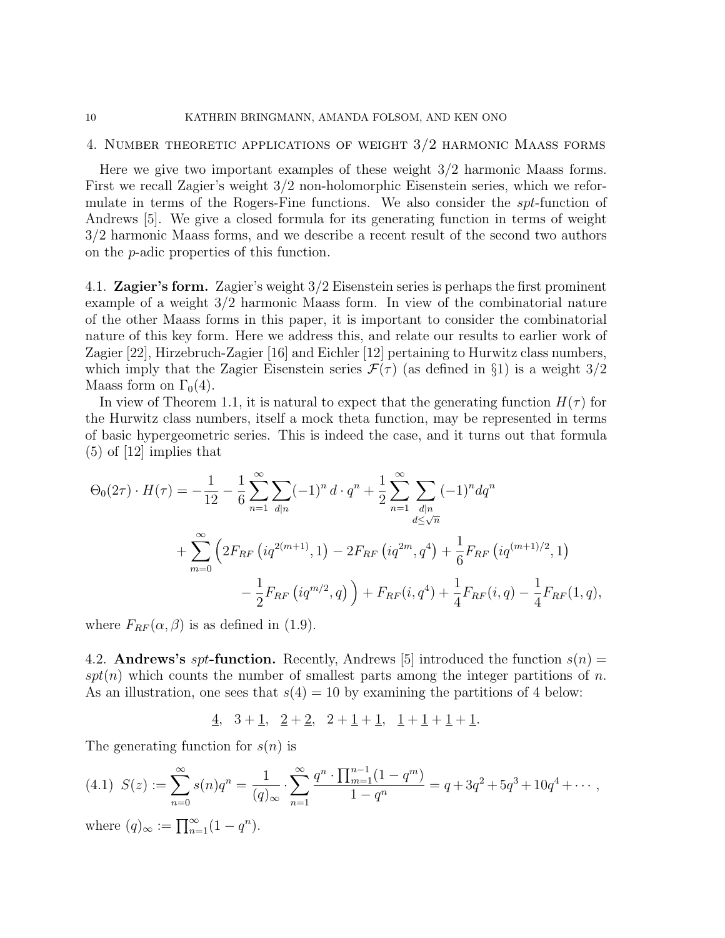### 10 KATHRIN BRINGMANN, AMANDA FOLSOM, AND KEN ONO

## 4. Number theoretic applications of weight 3/2 harmonic Maass forms

Here we give two important examples of these weight 3/2 harmonic Maass forms. First we recall Zagier's weight 3/2 non-holomorphic Eisenstein series, which we reformulate in terms of the Rogers-Fine functions. We also consider the spt-function of Andrews [5]. We give a closed formula for its generating function in terms of weight 3/2 harmonic Maass forms, and we describe a recent result of the second two authors on the p-adic properties of this function.

4.1. **Zagier's form.** Zagier's weight 3/2 Eisenstein series is perhaps the first prominent example of a weight 3/2 harmonic Maass form. In view of the combinatorial nature of the other Maass forms in this paper, it is important to consider the combinatorial nature of this key form. Here we address this, and relate our results to earlier work of Zagier [22], Hirzebruch-Zagier [16] and Eichler [12] pertaining to Hurwitz class numbers, which imply that the Zagier Eisenstein series  $\mathcal{F}(\tau)$  (as defined in §1) is a weight  $3/2$ Maass form on  $\Gamma_0(4)$ .

In view of Theorem 1.1, it is natural to expect that the generating function  $H(\tau)$  for the Hurwitz class numbers, itself a mock theta function, may be represented in terms of basic hypergeometric series. This is indeed the case, and it turns out that formula  $(5)$  of [12] implies that

$$
\Theta_0(2\tau) \cdot H(\tau) = -\frac{1}{12} - \frac{1}{6} \sum_{n=1}^{\infty} \sum_{d|n} (-1)^n d \cdot q^n + \frac{1}{2} \sum_{n=1}^{\infty} \sum_{d|n} (-1)^n dq^n
$$
  
+ 
$$
\sum_{m=0}^{\infty} \left( 2F_{RF} \left( iq^{2(m+1)}, 1 \right) - 2F_{RF} \left( iq^{2m}, q^4 \right) + \frac{1}{6} F_{RF} \left( iq^{(m+1)/2}, 1 \right) - \frac{1}{2} F_{RF} \left( iq^{m/2}, q \right) \right) + F_{RF}(i, q^4) + \frac{1}{4} F_{RF}(i, q) - \frac{1}{4} F_{RF}(1, q),
$$

where  $F_{RF}(\alpha, \beta)$  is as defined in (1.9).

4.2. **Andrews's** spt-function. Recently, Andrews [5] introduced the function  $s(n)$  =  $spt(n)$  which counts the number of smallest parts among the integer partitions of n. As an illustration, one sees that  $s(4) = 10$  by examining the partitions of 4 below:

 $\frac{4}{3}$ ,  $\frac{3+1}{2}$ ,  $\frac{2+2}{2}$ ,  $\frac{2+1+1}{1}$ ,  $\frac{1+1+1+1}{2}$ .

The generating function for  $s(n)$  is

$$
(4.1) \ \ S(z) := \sum_{n=0}^{\infty} s(n)q^n = \frac{1}{(q)_{\infty}} \cdot \sum_{n=1}^{\infty} \frac{q^n \cdot \prod_{m=1}^{n-1} (1-q^m)}{1-q^n} = q + 3q^2 + 5q^3 + 10q^4 + \cdots,
$$
  
where  $(q)_{\infty} := \prod_{n=0}^{\infty} (1-q^n)$ 

 $\circ$  (q)∞  $1 \ln 1$ 9)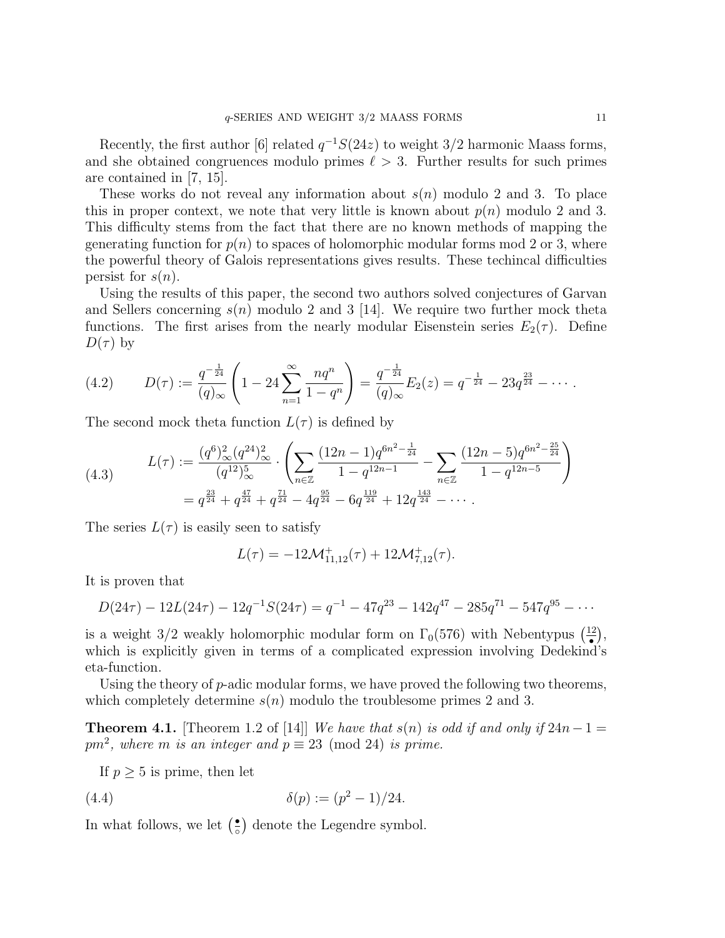Recently, the first author [6] related  $q^{-1}S(24z)$  to weight 3/2 harmonic Maass forms, and she obtained congruences modulo primes  $\ell > 3$ . Further results for such primes are contained in [7, 15].

These works do not reveal any information about  $s(n)$  modulo 2 and 3. To place this in proper context, we note that very little is known about  $p(n)$  modulo 2 and 3. This difficulty stems from the fact that there are no known methods of mapping the generating function for  $p(n)$  to spaces of holomorphic modular forms mod 2 or 3, where the powerful theory of Galois representations gives results. These techincal difficulties persist for  $s(n)$ .

Using the results of this paper, the second two authors solved conjectures of Garvan and Sellers concerning  $s(n)$  modulo 2 and 3 [14]. We require two further mock theta functions. The first arises from the nearly modular Eisenstein series  $E_2(\tau)$ . Define  $D(\tau)$  by

(4.2) 
$$
D(\tau) := \frac{q^{-\frac{1}{24}}}{(q)_{\infty}} \left(1 - 24 \sum_{n=1}^{\infty} \frac{nq^n}{1 - q^n}\right) = \frac{q^{-\frac{1}{24}}}{(q)_{\infty}} E_2(z) = q^{-\frac{1}{24}} - 23q^{\frac{23}{24}} - \cdots
$$

The second mock theta function  $L(\tau)$  is defined by

$$
(4.3) \qquad L(\tau) := \frac{(q^6)_{\infty}^2 (q^{24})_{\infty}^2}{(q^{12})_{\infty}^5} \cdot \left( \sum_{n \in \mathbb{Z}} \frac{(12n-1)q^{6n^2 - \frac{1}{24}}}{1 - q^{12n - 1}} - \sum_{n \in \mathbb{Z}} \frac{(12n-5)q^{6n^2 - \frac{25}{24}}}{1 - q^{12n - 5}} \right)
$$

$$
= q^{\frac{23}{24}} + q^{\frac{47}{24}} + q^{\frac{71}{24}} - 4q^{\frac{95}{24}} - 6q^{\frac{119}{24}} + 12q^{\frac{143}{24}} - \cdots
$$

The series  $L(\tau)$  is easily seen to satisfy

$$
L(\tau) = -12\mathcal{M}^+_{11,12}(\tau) + 12\mathcal{M}^+_{7,12}(\tau).
$$

It is proven that

$$
D(24\tau) - 12L(24\tau) - 12q^{-1}S(24\tau) = q^{-1} - 47q^{23} - 142q^{47} - 285q^{71} - 547q^{95} - \cdots
$$

is a weight 3/2 weakly holomorphic modular form on  $\Gamma_0(576)$  with Nebentypus  $\left(\frac{12}{\bullet}\right)$  $\frac{12}{•}$ , which is explicitly given in terms of a complicated expression involving Dedekind's eta-function.

Using the theory of  $p$ -adic modular forms, we have proved the following two theorems, which completely determine  $s(n)$  modulo the troublesome primes 2 and 3.

**Theorem 4.1.** [Theorem 1.2 of [14]] We have that s(n) is odd if and only if  $24n-1=$  $pm^2$ , where m is an integer and  $p \equiv 23 \pmod{24}$  is prime.

If  $p \geq 5$  is prime, then let

(4.4) 
$$
\delta(p) := (p^2 - 1)/24.
$$

In what follows, we let  $\left(\frac{\bullet}{\circ}\right)$  $\frac{1}{\circ}$  denote the Legendre symbol.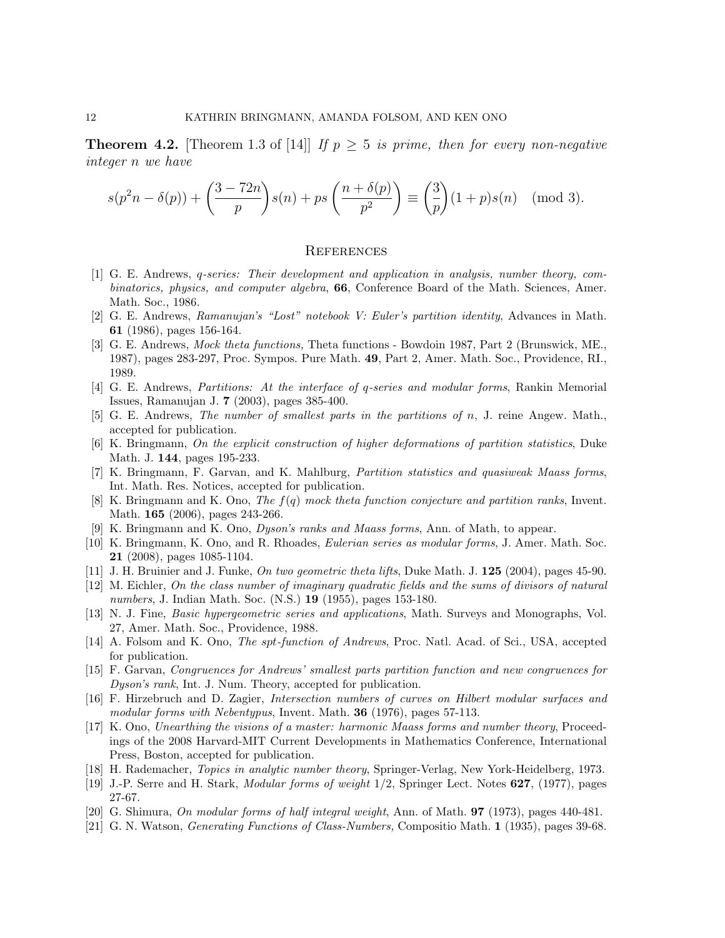**Theorem 4.2.** [Theorem 1.3 of [14]] If  $p \geq 5$  is prime, then for every non-negative integer n we have

$$
s(p^2n - \delta(p)) + \left(\frac{3-72n}{p}\right)s(n) + ps\left(\frac{n+\delta(p)}{p^2}\right) \equiv \left(\frac{3}{p}\right)(1+p)s(n) \pmod{3}.
$$

#### **REFERENCES**

- [1] G. E. Andrews, q-series: Their development and application in analysis, number theory, combinatorics, physics, and computer algebra, 66, Conference Board of the Math. Sciences, Amer. Math. Soc., 1986.
- [2] G. E. Andrews, Ramanujan's "Lost" notebook V: Euler's partition identity, Advances in Math. 61 (1986), pages 156-164.
- [3] G. E. Andrews, Mock theta functions, Theta functions Bowdoin 1987, Part 2 (Brunswick, ME., 1987), pages 283-297, Proc. Sympos. Pure Math. 49, Part 2, Amer. Math. Soc., Providence, RI., 1989.
- [4] G. E. Andrews, Partitions: At the interface of q-series and modular forms, Rankin Memorial Issues, Ramanujan J. 7 (2003), pages 385-400.
- [5] G. E. Andrews, The number of smallest parts in the partitions of n, J. reine Angew. Math., accepted for publication.
- [6] K. Bringmann, On the explicit construction of higher deformations of partition statistics, Duke Math. J. 144, pages 195-233.
- [7] K. Bringmann, F. Garvan, and K. Mahlburg, Partition statistics and quasiweak Maass forms, Int. Math. Res. Notices, accepted for publication.
- [8] K. Bringmann and K. Ono, The f(q) mock theta function conjecture and partition ranks, Invent. Math. 165 (2006), pages 243-266.
- [9] K. Bringmann and K. Ono, Dyson's ranks and Maass forms, Ann. of Math, to appear.
- [10] K. Bringmann, K. Ono, and R. Rhoades, Eulerian series as modular forms, J. Amer. Math. Soc. 21 (2008), pages 1085-1104.
- [11] J. H. Bruinier and J. Funke, On two geometric theta lifts, Duke Math. J. 125 (2004), pages 45-90.
- [12] M. Eichler, On the class number of imaginary quadratic fields and the sums of divisors of natural numbers, J. Indian Math. Soc. (N.S.) **19** (1955), pages 153-180.
- [13] N. J. Fine, Basic hypergeometric series and applications, Math. Surveys and Monographs, Vol. 27, Amer. Math. Soc., Providence, 1988.
- [14] A. Folsom and K. Ono, The spt-function of Andrews, Proc. Natl. Acad. of Sci., USA, accepted for publication.
- [15] F. Garvan, Congruences for Andrews' smallest parts partition function and new congruences for Dyson's rank, Int. J. Num. Theory, accepted for publication.
- [16] F. Hirzebruch and D. Zagier, Intersection numbers of curves on Hilbert modular surfaces and modular forms with Nebentypus, Invent. Math. **36** (1976), pages 57-113.
- [17] K. Ono, Unearthing the visions of a master: harmonic Maass forms and number theory, Proceedings of the 2008 Harvard-MIT Current Developments in Mathematics Conference, International Press, Boston, accepted for publication.
- [18] H. Rademacher, Topics in analytic number theory, Springer-Verlag, New York-Heidelberg, 1973.
- [19] J.-P. Serre and H. Stark, Modular forms of weight 1/2, Springer Lect. Notes 627, (1977), pages 27-67.
- [20] G. Shimura, On modular forms of half integral weight, Ann. of Math. 97 (1973), pages 440-481.
- [21] G. N. Watson, Generating Functions of Class-Numbers, Compositio Math. 1 (1935), pages 39-68.